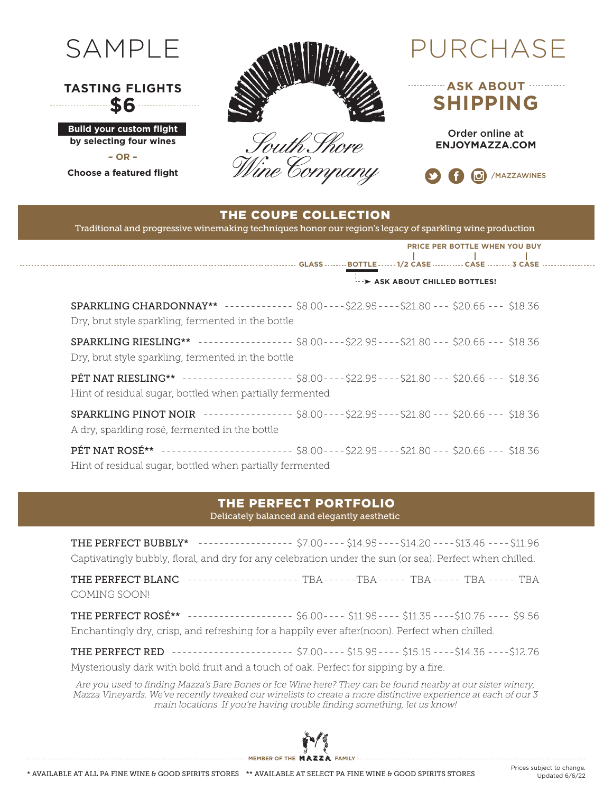

## **TASTING FLIGHTS \$6**

**Build your custom flight by selecting four wines – OR –**

**Choose a featured flight**



South Shore Wine Company

**ASK ABOUT SHIPPING**

> Order online at **ENJOYMAZZA.COM**



## THE COUPE COLLECTION

Traditional and progressive winemaking techniques honor our region's legacy of sparkling wine production

|                                                                                                                                                                |                            |  |  | PRICE PER BOTTLE WHEN YOU BUY |  |
|----------------------------------------------------------------------------------------------------------------------------------------------------------------|----------------------------|--|--|-------------------------------|--|
|                                                                                                                                                                | ASK ABOUT CHILLED BOTTLES! |  |  |                               |  |
| SPARKLING CHARDONNAY** ------------ \$8.00---- \$22.95---- \$21.80 --- \$20.66 --- \$18.36<br>Dry, brut style sparkling, fermented in the bottle               |                            |  |  |                               |  |
| SPARKLING RIESLING** --------------- \$8.00----\$22.95----\$21.80 --- \$20.66 --- \$18.36<br>Dry, brut style sparkling, fermented in the bottle                |                            |  |  |                               |  |
| PÉT NAT RIESLING** ------------------ \$8.00----\$22.95----\$21.80 --- \$20.66 --- \$18.36<br>Hint of residual sugar, bottled when partially fermented         |                            |  |  |                               |  |
| SPARKLING PINOT NOIR --------------- \$8.00----\$22.95----\$21.80 --- \$20.66 --- \$18.36<br>A dry, sparkling rosé, fermented in the bottle                    |                            |  |  |                               |  |
| <b>PÉT NAT ROSÉ**</b> ----------------------- \$8.00----\$22.95----\$21.80 --- \$20.66 --- \$18.36<br>Hint of residual sugar, bottled when partially fermented |                            |  |  |                               |  |

### THE PERFECT PORTFOLIO

Delicately balanced and elegantly aesthetic

THE PERFECT BUBBLY\* ------------------ \$7.00---- \$14.95----\$14.20 ----\$13.46 ----\$11.96 Captivatingly bubbly, floral, and dry for any celebration under the sun (or sea). Perfect when chilled.

THE PERFECT BLANC --------------------- TBA------TBA----- TBA ----- TBA ----- TBA COMING SOON!

THE PERFECT ROSÉ\*\* -------------------- \$6.00---- \$11.95---- \$11.35 ----\$10.76 ---- \$9.56 Enchantingly dry, crisp, and refreshing for a happily ever after(noon). Perfect when chilled.

THE PERFECT RED ----------------------- \$7.00---- \$15.95---- \$15.15 ----\$14.36 ----\$12.76 Mysteriously dark with bold fruit and a touch of oak. Perfect for sipping by a fire.

Are you used to finding Mazza's Bare Bones or Ice Wine here? They can be found nearby at our sister winery, Mazza Vineyards. We've recently tweaked our winelists to create a more distinctive experience at each of our 3 main locations. If you're having trouble finding something, let us know!